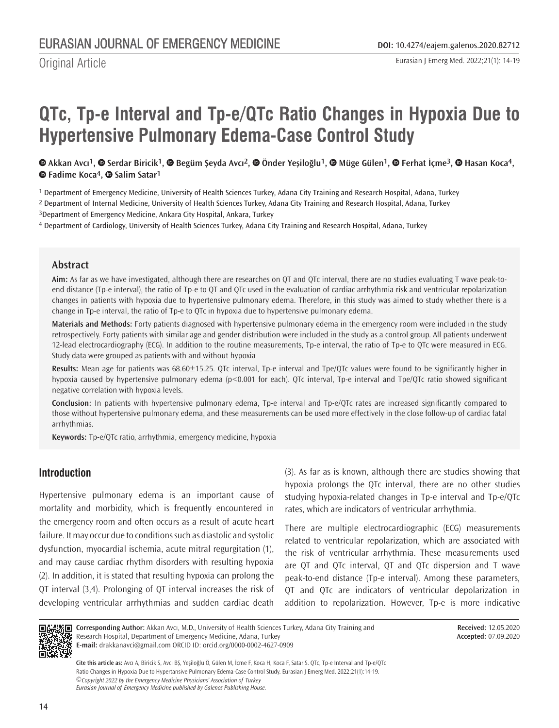# **QTc, Tp-e Interval and Tp-e/QTc Ratio Changes in Hypoxia Due to Hypertensive Pulmonary Edema-Case Control Study**

⊕Akkan Avcı<sup>1</sup>[,](https://orcid.org/0000-0001-6149-9341) ⊕ Serdar Biricik<sup>1</sup>, ⊕ Begüm Şeyda Avcı<sup>2</sup>, ⊕ Önder Yeşiloğlu<sup>1</sup>, ⊕ Müge Gülen<sup>1</sup>, ⊕ Ferhat İçme<sup>3</sup>, ⊕ Hasan Koca<sup>4</sup>, **Fadime Koca4,Salim Satar1**

1 Department of Emergency Medicine, University of Health Sciences Turkey, Adana City Training and Research Hospital, Adana, Turkey

2 Department of Internal Medicine, University of Health Sciences Turkey, Adana City Training and Research Hospital, Adana, Turkey

3Department of Emergency Medicine, Ankara City Hospital, Ankara, Turkey

4 Department of Cardiology, University of Health Sciences Turkey, Adana City Training and Research Hospital, Adana, Turkey

## **Abstract**

**Aim:** As far as we have investigated, although there are researches on QT and QTc interval, there are no studies evaluating T wave peak-toend distance (Tp-e interval), the ratio of Tp-e to QT and QTc used in the evaluation of cardiac arrhythmia risk and ventricular repolarization changes in patients with hypoxia due to hypertensive pulmonary edema. Therefore, in this study was aimed to study whether there is a change in Tp-e interval, the ratio of Tp-e to QTc in hypoxia due to hypertensive pulmonary edema.

**Materials and Methods:** Forty patients diagnosed with hypertensive pulmonary edema in the emergency room were included in the study retrospectively. Forty patients with similar age and gender distribution were included in the study as a control group. All patients underwent 12-lead electrocardiography (ECG). In addition to the routine measurements, Tp-e interval, the ratio of Tp-e to QTc were measured in ECG. Study data were grouped as patients with and without hypoxia

**Results:** Mean age for patients was 68.60±15.25. QTc interval, Tp-e interval and Tpe/QTc values were found to be significantly higher in hypoxia caused by hypertensive pulmonary edema (p<0.001 for each). QTc interval, Tp-e interval and Tpe/QTc ratio showed significant negative correlation with hypoxia levels.

**Conclusion:** In patients with hypertensive pulmonary edema, Tp-e interval and Tp-e/QTc rates are increased significantly compared to those without hypertensive pulmonary edema, and these measurements can be used more effectively in the close follow-up of cardiac fatal arrhythmias.

**Keywords:** Tp-e/QTc ratio, arrhythmia, emergency medicine, hypoxia

# **Introduction**

Hypertensive pulmonary edema is an important cause of mortality and morbidity, which is frequently encountered in the emergency room and often occurs as a result of acute heart failure. It may occur due to conditions such as diastolic and systolic dysfunction, myocardial ischemia, acute mitral regurgitation (1), and may cause cardiac rhythm disorders with resulting hypoxia (2). In addition, it is stated that resulting hypoxia can prolong the QT interval (3,4). Prolonging of QT interval increases the risk of developing ventricular arrhythmias and sudden cardiac death (3). As far as is known, although there are studies showing that hypoxia prolongs the QTc interval, there are no other studies studying hypoxia-related changes in Tp-e interval and Tp-e/QTc rates, which are indicators of ventricular arrhythmia.

There are multiple electrocardiographic (ECG) measurements related to ventricular repolarization, which are associated with the risk of ventricular arrhythmia. These measurements used are QT and QTc interval, QT and QTc dispersion and T wave peak-to-end distance (Tp-e interval). Among these parameters, QT and QTc are indicators of ventricular depolarization in addition to repolarization. However, Tp-e is more indicative



**Corresponding Author:** Akkan Avcı, M.D., University of Health Sciences Turkey, Adana City Training and Research Hospital, Department of Emergency Medicine, Adana, Turkey **E-mail:** drakkanavci@gmail.com ORCID ID: orcid.org/0000-0002-4627-0909

**Received:** 12.05.2020 **Accepted:** 07.09.2020

*©Copyright 2022 by the Emergency Medicine Physicians' Association of Turkey Eurasian Journal of Emergency Medicine published by Galenos Publishing House.* **Cite this article as:** Avcı A, Biricik S, Avcı BŞ, Yeşiloğlu Ö, Gülen M, İçme F, Koca H, Koca F, Satar S. QTc, Tp-e Interval and Tp-e/QTc Ratio Changes in Hypoxia Due to Hypertansive Pulmonary Edema-Case Control Study. Eurasian J Emerg Med. 2022;21(1):14-19.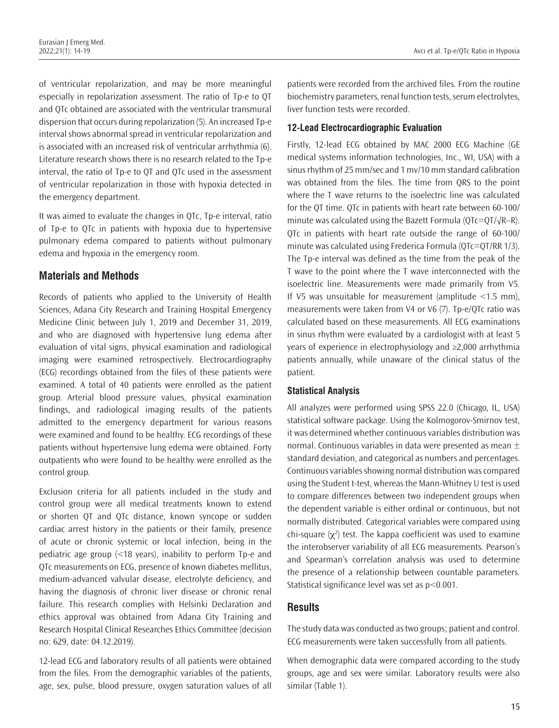of ventricular repolarization, and may be more meaningful especially in repolarization assessment. The ratio of Tp-e to QT and QTc obtained are associated with the ventricular transmural dispersion that occurs during repolarization (5). An increased Tp-e interval shows abnormal spread in ventricular repolarization and is associated with an increased risk of ventricular arrhythmia (6). Literature research shows there is no research related to the Tp-e interval, the ratio of Tp-e to QT and QTc used in the assessment of ventricular repolarization in those with hypoxia detected in the emergency department.

It was aimed to evaluate the changes in QTc, Tp-e interval, ratio of Tp-e to QTc in patients with hypoxia due to hypertensive pulmonary edema compared to patients without pulmonary edema and hypoxia in the emergency room.

## **Materials and Methods**

Records of patients who applied to the University of Health Sciences, Adana City Research and Training Hospital Emergency Medicine Clinic between July 1, 2019 and December 31, 2019, and who are diagnosed with hypertensive lung edema after evaluation of vital signs, physical examination and radiological imaging were examined retrospectively. Electrocardiography (ECG) recordings obtained from the files of these patients were examined. A total of 40 patients were enrolled as the patient group. Arterial blood pressure values, physical examination findings, and radiological imaging results of the patients admitted to the emergency department for various reasons were examined and found to be healthy. ECG recordings of these patients without hypertensive lung edema were obtained. Forty outpatients who were found to be healthy were enrolled as the control group.

Exclusion criteria for all patients included in the study and control group were all medical treatments known to extend or shorten QT and QTc distance, known syncope or sudden cardiac arrest history in the patients or their family, presence of acute or chronic systemic or local infection, being in the pediatric age group (<18 years), inability to perform Tp-e and QTc measurements on ECG, presence of known diabetes mellitus, medium-advanced valvular disease, electrolyte deficiency, and having the diagnosis of chronic liver disease or chronic renal failure. This research complies with Helsinki Declaration and ethics approval was obtained from Adana City Training and Research Hospital Clinical Researches Ethics Committee (decision no: 629, date: 04.12.2019).

12-lead ECG and laboratory results of all patients were obtained from the files. From the demographic variables of the patients, age, sex, pulse, blood pressure, oxygen saturation values of all patients were recorded from the archived files. From the routine biochemistry parameters, renal function tests, serum electrolytes, liver function tests were recorded.

#### **12-Lead Electrocardiographic Evaluation**

Firstly, 12-lead ECG obtained by MAC 2000 ECG Machine (GE medical systems information technologies, Inc., WI, USA) with a sinus rhythm of 25 mm/sec and 1 mv/10 mm standard calibration was obtained from the files. The time from QRS to the point where the T wave returns to the isoelectric line was calculated for the QT time. QTc in patients with heart rate between 60-100/ minute was calculated using the Bazett Formula ( $QTc=QT/\sqrt{R-R}$ ). QTc in patients with heart rate outside the range of 60-100/ minute was calculated using Frederica Formula (QTc=QT/RR 1/3). The Tp-e interval was defined as the time from the peak of the T wave to the point where the T wave interconnected with the isoelectric line. Measurements were made primarily from V5. If  $V5$  was unsuitable for measurement (amplitude  $\leq 1.5$  mm), measurements were taken from V4 or V6 (7). Tp-e/QTc ratio was calculated based on these measurements. All ECG examinations in sinus rhythm were evaluated by a cardiologist with at least 5 years of experience in electrophysiology and ≥2,000 arrhythmia patients annually, while unaware of the clinical status of the patient.

#### **Statistical Analysis**

All analyzes were performed using SPSS 22.0 (Chicago, IL, USA) statistical software package. Using the Kolmogorov-Smirnov test, it was determined whether continuous variables distribution was normal. Continuous variables in data were presented as mean  $\pm$ standard deviation, and categorical as numbers and percentages. Continuous variables showing normal distribution was compared using the Student t-test, whereas the Mann-Whitney U test is used to compare differences between two independent groups when the dependent variable is either ordinal or continuous, but not normally distributed. Categorical variables were compared using chi-square  $(\chi^2)$  test. The kappa coefficient was used to examine the interobserver variability of all ECG measurements. Pearson's and Spearman's correlation analysis was used to determine the presence of a relationship between countable parameters. Statistical significance level was set as p<0.001.

## **Results**

The study data was conducted as two groups; patient and control. ECG measurements were taken successfully from all patients.

When demographic data were compared according to the study groups, age and sex were similar. Laboratory results were also similar (Table 1).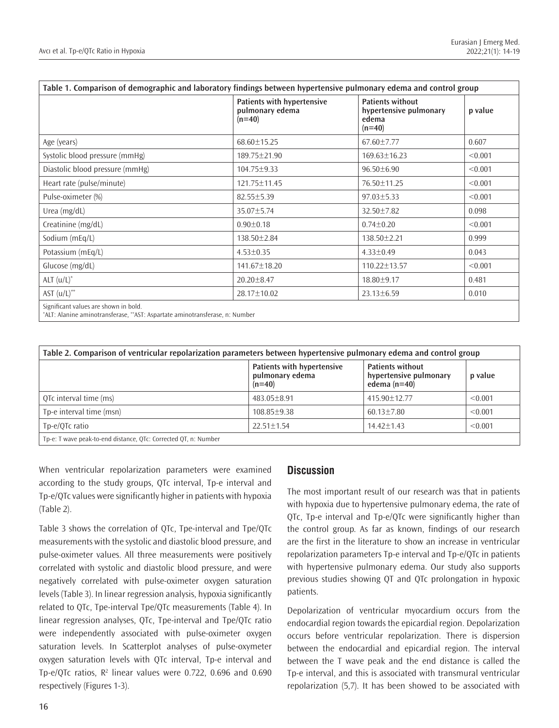| Table 1. Comparison of demographic and laboratory findings between hypertensive pulmonary edema and control group |                                                           |                                                                        |         |  |  |
|-------------------------------------------------------------------------------------------------------------------|-----------------------------------------------------------|------------------------------------------------------------------------|---------|--|--|
|                                                                                                                   | Patients with hypertensive<br>pulmonary edema<br>$(n=40)$ | <b>Patients without</b><br>hypertensive pulmonary<br>edema<br>$(n=40)$ | p value |  |  |
| Age (years)                                                                                                       | 68.60±15.25                                               | $67.60 \pm 7.77$                                                       | 0.607   |  |  |
| Systolic blood pressure (mmHg)                                                                                    | 189.75±21.90                                              | 169.63±16.23                                                           | < 0.001 |  |  |
| Diastolic blood pressure (mmHg)                                                                                   | 104.75±9.33                                               | $96.50 \pm 6.90$                                                       | < 0.001 |  |  |
| Heart rate (pulse/minute)                                                                                         | 121.75±11.45                                              | 76.50±11.25                                                            | < 0.001 |  |  |
| Pulse-oximeter (%)                                                                                                | $82.55 \pm 5.39$                                          | $97.03 \pm 5.33$                                                       | < 0.001 |  |  |
| Urea $(mg/dL)$                                                                                                    | 35.07±5.74                                                | 32.50±7.82                                                             | 0.098   |  |  |
| Creatinine (mg/dL)                                                                                                | $0.90 \pm 0.18$                                           | $0.74 \pm 0.20$                                                        | < 0.001 |  |  |
| Sodium (mEq/L)                                                                                                    | 138.50 ± 2.84                                             | 138.50±2.21                                                            | 0.999   |  |  |
| Potassium (mEq/L)                                                                                                 | $4.53 \pm 0.35$                                           | $4.33 \pm 0.49$                                                        | 0.043   |  |  |
| Glucose (mg/dL)                                                                                                   | 141.67±18.20                                              | $110.22 \pm 13.57$                                                     | < 0.001 |  |  |
| $ALT (u/L)^*$                                                                                                     | $20.20 \pm 8.47$                                          | 18.80±9.17                                                             | 0.481   |  |  |
| AST $(u/L)$ **                                                                                                    | 28.17±10.02                                               | $23.13 \pm 6.59$                                                       | 0.010   |  |  |
| Significant values are shown in bold.                                                                             |                                                           |                                                                        |         |  |  |

\* ALT: Alanine aminotransferase, \*\*AST: Aspartate aminotransferase, n: Number

| Table 2. Comparison of ventricular repolarization parameters between hypertensive pulmonary edema and control group |                                                           |                                                                     |         |  |  |
|---------------------------------------------------------------------------------------------------------------------|-----------------------------------------------------------|---------------------------------------------------------------------|---------|--|--|
|                                                                                                                     | Patients with hypertensive<br>pulmonary edema<br>$(n=40)$ | <b>Patients without</b><br>hypertensive pulmonary<br>edema $(n=40)$ | p value |  |  |
| OTc interval time (ms)                                                                                              | $483.05 + 8.91$                                           | 415.90 + 12.77                                                      | < 0.001 |  |  |
| Tp-e interval time (msn)                                                                                            | 108.85±9.38                                               | $60.13 \pm 7.80$                                                    | < 0.001 |  |  |
| Tp-e/OTc ratio                                                                                                      | $22.51 \pm 1.54$                                          | $14.42 + 1.43$                                                      | < 0.001 |  |  |
| Tp-e: T wave peak-to-end distance. OTc: Corrected OT. n: Number                                                     |                                                           |                                                                     |         |  |  |

Tp-e: T wave peak-to-end distance, QTc: Corrected QT, n: Number

When ventricular repolarization parameters were examined according to the study groups, QTc interval, Tp-e interval and Tp-e/QTc values were significantly higher in patients with hypoxia (Table 2).

Table 3 shows the correlation of QTc, Tpe-interval and Tpe/QTc measurements with the systolic and diastolic blood pressure, and pulse-oximeter values. All three measurements were positively correlated with systolic and diastolic blood pressure, and were negatively correlated with pulse-oximeter oxygen saturation levels (Table 3). In linear regression analysis, hypoxia significantly related to QTc, Tpe-interval Tpe/QTc measurements (Table 4). In linear regression analyses, QTc, Tpe-interval and Tpe/QTc ratio were independently associated with pulse-oximeter oxygen saturation levels. In Scatterplot analyses of pulse-oxymeter oxygen saturation levels with QTc interval, Tp-e interval and Tp-e/QTc ratios, R<sup>2</sup> linear values were 0.722, 0.696 and 0.690 respectively (Figures 1-3).

## **Discussion**

The most important result of our research was that in patients with hypoxia due to hypertensive pulmonary edema, the rate of QTc, Tp-e interval and Tp-e/QTc were significantly higher than the control group. As far as known, findings of our research are the first in the literature to show an increase in ventricular repolarization parameters Tp-e interval and Tp-e/QTc in patients with hypertensive pulmonary edema. Our study also supports previous studies showing QT and QTc prolongation in hypoxic patients.

Depolarization of ventricular myocardium occurs from the endocardial region towards the epicardial region. Depolarization occurs before ventricular repolarization. There is dispersion between the endocardial and epicardial region. The interval between the T wave peak and the end distance is called the Tp-e interval, and this is associated with transmural ventricular repolarization (5,7). It has been showed to be associated with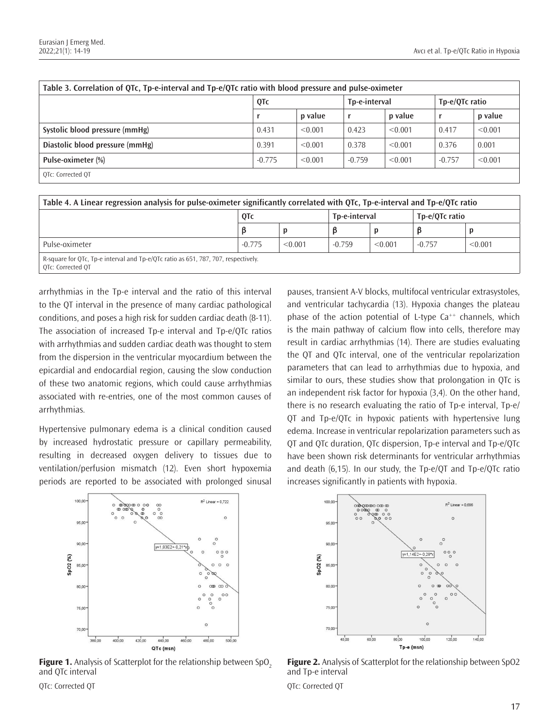| Table 3. Correlation of QTc, Tp-e-interval and Tp-e/QTc ratio with blood pressure and pulse-oximeter |          |         |               |         |                |         |
|------------------------------------------------------------------------------------------------------|----------|---------|---------------|---------|----------------|---------|
|                                                                                                      | QTc      |         | Tp-e-interval |         | Tp-e/QTc ratio |         |
|                                                                                                      |          | p value |               | p value |                | p value |
| Systolic blood pressure (mmHg)                                                                       | 0.431    | < 0.001 | 0.423         | < 0.001 | 0.417          | < 0.001 |
| Diastolic blood pressure (mmHg)                                                                      | 0.391    | < 0.001 | 0.378         | < 0.001 | 0.376          | 0.001   |
| Pulse-oximeter (%)                                                                                   | $-0.775$ | < 0.001 | $-0.759$      | < 0.001 | $-0.757$       | < 0.001 |
| OTc: Corrected OT                                                                                    |          |         |               |         |                |         |

| Table 4. A Linear regression analysis for pulse-oximeter significantly correlated with QTc, Tp-e-interval and Tp-e/QTc ratio |          |         |               |         |                |         |
|------------------------------------------------------------------------------------------------------------------------------|----------|---------|---------------|---------|----------------|---------|
|                                                                                                                              | QTc      |         | Tp-e-interval |         | Tp-e/OTc ratio |         |
|                                                                                                                              | ß        | D       |               | p       |                |         |
| Pulse-oximeter                                                                                                               | $-0.775$ | < 0.001 | $-0.759$      | < 0.001 | $-0.757$       | < 0.001 |
| R-square for QTc, Tp-e interval and Tp-e/QTc ratio as 651, 787, 707, respectively.<br>OTc: Corrected OT                      |          |         |               |         |                |         |

arrhythmias in the Tp-e interval and the ratio of this interval to the QT interval in the presence of many cardiac pathological conditions, and poses a high risk for sudden cardiac death (8-11). The association of increased Tp-e interval and Tp-e/QTc ratios with arrhythmias and sudden cardiac death was thought to stem from the dispersion in the ventricular myocardium between the epicardial and endocardial region, causing the slow conduction of these two anatomic regions, which could cause arrhythmias associated with re-entries, one of the most common causes of arrhythmias.

Hypertensive pulmonary edema is a clinical condition caused by increased hydrostatic pressure or capillary permeability, resulting in decreased oxygen delivery to tissues due to ventilation/perfusion mismatch (12). Even short hypoxemia periods are reported to be associated with prolonged sinusal



**Figure 1.** Analysis of Scatterplot for the relationship between SpO<sub>2</sub> and QTc interval

pauses, transient A-V blocks, multifocal ventricular extrasystoles, and ventricular tachycardia (13). Hypoxia changes the plateau phase of the action potential of L-type  $Ca^{++}$  channels, which is the main pathway of calcium flow into cells, therefore may result in cardiac arrhythmias (14). There are studies evaluating the QT and QTc interval, one of the ventricular repolarization parameters that can lead to arrhythmias due to hypoxia, and similar to ours, these studies show that prolongation in QTc is an independent risk factor for hypoxia (3,4). On the other hand, there is no research evaluating the ratio of Tp-e interval, Tp-e/ QT and Tp-e/QTc in hypoxic patients with hypertensive lung edema. Increase in ventricular repolarization parameters such as QT and QTc duration, QTc dispersion, Tp-e interval and Tp-e/QTc have been shown risk determinants for ventricular arrhythmias and death (6,15). In our study, the Tp-e/QT and Tp-e/QTc ratio increases significantly in patients with hypoxia.



**Figure 2.** Analysis of Scatterplot for the relationship between SpO2 and Tp-e interval QTc: Corrected QT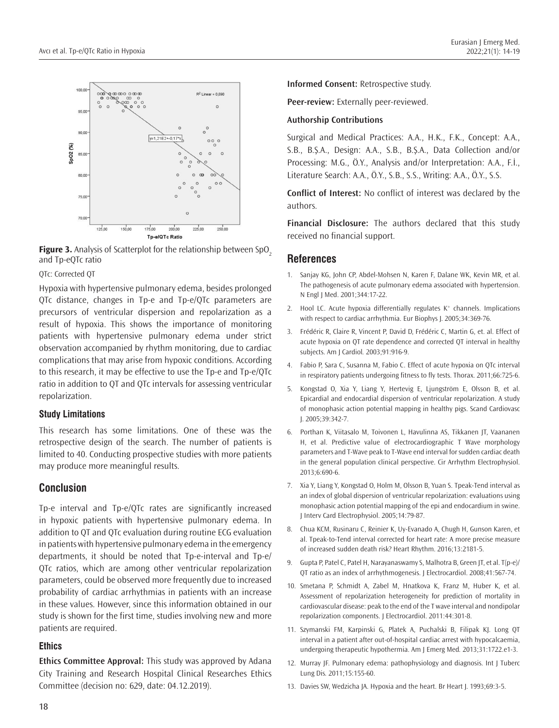

**Figure 3.** Analysis of Scatterplot for the relationship between SpO<sub>2</sub> and Tp-eQTc ratio

QTc: Corrected QT

Hypoxia with hypertensive pulmonary edema, besides prolonged QTc distance, changes in Tp-e and Tp-e/QTc parameters are precursors of ventricular dispersion and repolarization as a result of hypoxia. This shows the importance of monitoring patients with hypertensive pulmonary edema under strict observation accompanied by rhythm monitoring, due to cardiac complications that may arise from hypoxic conditions. According to this research, it may be effective to use the Tp-e and Tp-e/QTc ratio in addition to QT and QTc intervals for assessing ventricular repolarization.

#### **Study Limitations**

This research has some limitations. One of these was the retrospective design of the search. The number of patients is limited to 40. Conducting prospective studies with more patients may produce more meaningful results.

## **Conclusion**

Tp-e interval and Tp-e/QTc rates are significantly increased in hypoxic patients with hypertensive pulmonary edema. In addition to QT and QTc evaluation during routine ECG evaluation in patients with hypertensive pulmonary edema in the emergency departments, it should be noted that Tp-e-interval and Tp-e/ QTc ratios, which are among other ventricular repolarization parameters, could be observed more frequently due to increased probability of cardiac arrhythmias in patients with an increase in these values. However, since this information obtained in our study is shown for the first time, studies involving new and more patients are required.

#### **Ethics**

**Ethics Committee Approval:** This study was approved by Adana City Training and Research Hospital Clinical Researches Ethics Committee (decision no: 629, date: 04.12.2019).

**Informed Consent:** Retrospective study.

**Peer-review:** Externally peer-reviewed.

#### **Authorship Contributions**

Surgical and Medical Practices: A.A., H.K., F.K., Concept: A.A., S.B., B.Ş.A., Design: A.A., S.B., B.Ş.A., Data Collection and/or Processing: M.G., Ö.Y., Analysis and/or Interpretation: A.A., F.İ., Literature Search: A.A., Ö.Y., S.B., S.S., Writing: A.A., Ö.Y., S.S.

**Conflict of Interest:** No conflict of interest was declared by the authors.

**Financial Disclosure:** The authors declared that this study received no financial support.

#### **References**

- 1. Sanjay KG, John CP, Abdel-Mohsen N, Karen F, Dalane WK, Kevin MR, et al. The pathogenesis of acute pulmonary edema associated with hypertension. N Engl J Med. 2001;344:17-22.
- 2. Hool LC. Acute hypoxia differentially regulates  $K^+$  channels. Implications with respect to cardiac arrhythmia. Eur Biophys J. 2005;34:369-76.
- 3. Frédéric R, Claire R, Vincent P, David D, Frédéric C, Martin G, et. al. Effect of acute hypoxia on QT rate dependence and corrected QT interval in healthy subjects. Am J Cardiol*.* 2003;91:916-9.
- 4. Fabio P, Sara C, Susanna M, Fabio C. Effect of acute hypoxia on QTc interval in respiratory patients undergoing fitness to fly tests. Thorax. 2011;66:725-6.
- 5. Kongstad O, Xia Y, Liang Y, Hertevig E, Ljungström E, Olsson B, et al. Epicardial and endocardial dispersion of ventricular repolarization. A study of monophasic action potential mapping in healthy pigs. Scand Cardiovasc J. 2005;39:342-7.
- 6. Porthan K, Viitasalo M, Toivonen L, Havulinna AS, Tikkanen JT, Vaananen H, et al. Predictive value of electrocardiographic T Wave morphology parameters and T-Wave peak to T-Wave end interval for sudden cardiac death in the general population clinical perspective. Cir Arrhythm Electrophysiol. 2013;6:690-6.
- 7. Xia Y, Liang Y, Kongstad O, Holm M, Olsson B, Yuan S. Tpeak-Tend interval as an index of global dispersion of ventricular repolarization: evaluations using monophasic action potential mapping of the epi and endocardium in swine. J Interv Card Electrophysiol. 2005;14:79-87.
- 8. Chua KCM, Rusinaru C, Reinier K, Uy-Evanado A, Chugh H, Gunson Karen, et al. Tpeak-to-Tend interval corrected for heart rate: A more precise measure of increased sudden death risk? Heart Rhythm. 2016;13:2181-5.
- 9. Gupta P, Patel C, Patel H, Narayanaswamy S, Malhotra B, Green JT, et al. T(p-e)/ QT ratio as an index of arrhythmogenesis. J Electrocardiol. 2008;41:567-74.
- 10. Smetana P, Schmidt A, Zabel M, Hnatkova K, Franz M, Huber K, et al. Assessment of repolarization heterogeneity for prediction of mortality in cardiovascular disease: peak to the end of the T wave interval and nondipolar repolarization components. J Electrocardiol. 2011:44:301-8.
- 11. Szymanski FM, Karpinski G, Platek A, Puchalski B, Filipak KJ. Long QT interval in a patient after out-of-hospital cardiac arrest with hypocalcaemia, undergoing therapeutic hypothermia. Am J Emerg Med*.* 2013;31:1722.e1-3.
- 12. Murray JF. Pulmonary edema: pathophysiology and diagnosis. Int J Tuberc Lung Dis*.* 2011;15:155-60.
- 13. Davies SW, Wedzicha JA. Hypoxia and the heart. Br Heart J. 1993;69:3-5.